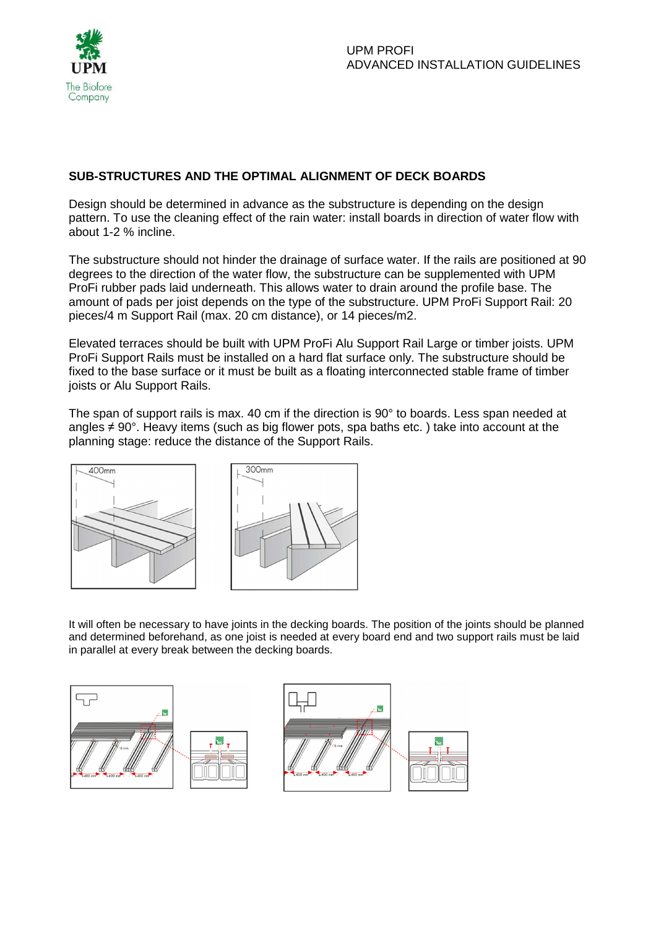

## **SUB-STRUCTURES AND THE OPTIMAL ALIGNMENT OF DECK BOARDS**

Design should be determined in advance as the substructure is depending on the design pattern. To use the cleaning effect of the rain water: install boards in direction of water flow with about 1-2 % incline.

The substructure should not hinder the drainage of surface water. If the rails are positioned at 90 degrees to the direction of the water flow, the substructure can be supplemented with UPM ProFi rubber pads laid underneath. This allows water to drain around the profile base. The amount of pads per joist depends on the type of the substructure. UPM ProFi Support Rail: 20 pieces/4 m Support Rail (max. 20 cm distance), or 14 pieces/m2.

Elevated terraces should be built with UPM ProFi Alu Support Rail Large or timber joists. UPM ProFi Support Rails must be installed on a hard flat surface only. The substructure should be fixed to the base surface or it must be built as a floating interconnected stable frame of timber joists or Alu Support Rails.

The span of support rails is max. 40 cm if the direction is 90° to boards. Less span needed at angles ≠ 90°. Heavy items (such as big flower pots, spa baths etc. ) take into account at the planning stage: reduce the distance of the Support Rails.





It will often be necessary to have joints in the decking boards. The position of the joints should be planned and determined beforehand, as one joist is needed at every board end and two support rails must be laid in parallel at every break between the decking boards.